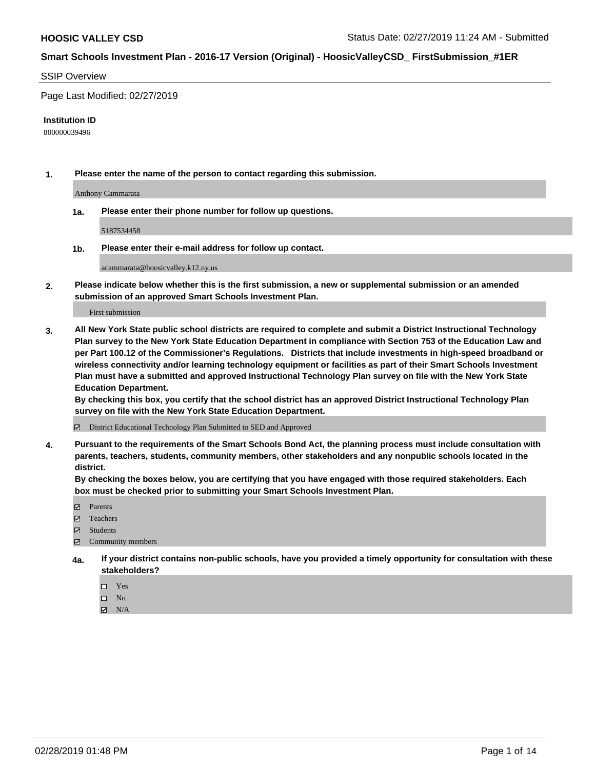### SSIP Overview

Page Last Modified: 02/27/2019

#### **Institution ID**

800000039496

**1. Please enter the name of the person to contact regarding this submission.**

Anthony Cammarata

**1a. Please enter their phone number for follow up questions.**

5187534458

**1b. Please enter their e-mail address for follow up contact.**

acammarata@hoosicvalley.k12.ny.us

**2. Please indicate below whether this is the first submission, a new or supplemental submission or an amended submission of an approved Smart Schools Investment Plan.**

First submission

**3. All New York State public school districts are required to complete and submit a District Instructional Technology Plan survey to the New York State Education Department in compliance with Section 753 of the Education Law and per Part 100.12 of the Commissioner's Regulations. Districts that include investments in high-speed broadband or wireless connectivity and/or learning technology equipment or facilities as part of their Smart Schools Investment Plan must have a submitted and approved Instructional Technology Plan survey on file with the New York State Education Department.** 

**By checking this box, you certify that the school district has an approved District Instructional Technology Plan survey on file with the New York State Education Department.**

District Educational Technology Plan Submitted to SED and Approved

**4. Pursuant to the requirements of the Smart Schools Bond Act, the planning process must include consultation with parents, teachers, students, community members, other stakeholders and any nonpublic schools located in the district.** 

**By checking the boxes below, you are certifying that you have engaged with those required stakeholders. Each box must be checked prior to submitting your Smart Schools Investment Plan.**

- **□** Parents
- Teachers
- Students
- $\boxtimes$  Community members
- **4a. If your district contains non-public schools, have you provided a timely opportunity for consultation with these stakeholders?**
	- $\Box$  Yes
	- $\qquad \qquad$  No
	- $\blacksquare$  N/A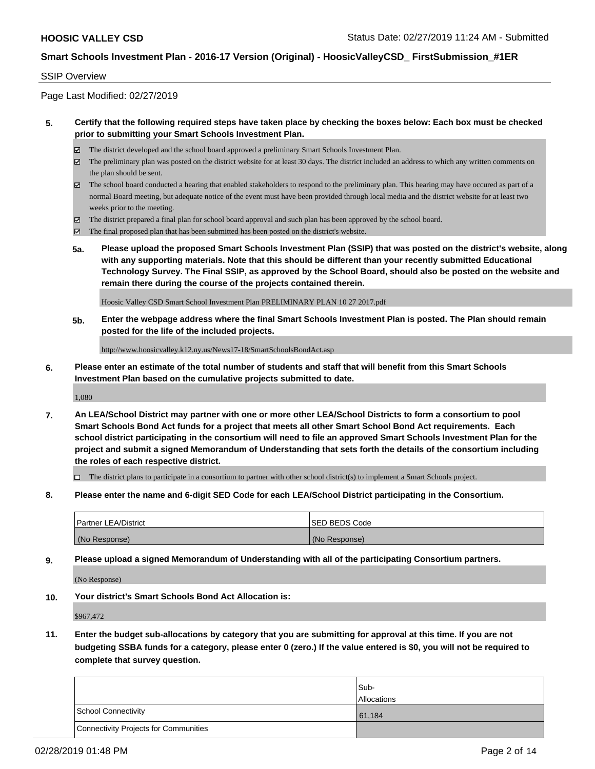### SSIP Overview

Page Last Modified: 02/27/2019

## **5. Certify that the following required steps have taken place by checking the boxes below: Each box must be checked prior to submitting your Smart Schools Investment Plan.**

- The district developed and the school board approved a preliminary Smart Schools Investment Plan.
- $\boxtimes$  The preliminary plan was posted on the district website for at least 30 days. The district included an address to which any written comments on the plan should be sent.
- $\boxtimes$  The school board conducted a hearing that enabled stakeholders to respond to the preliminary plan. This hearing may have occured as part of a normal Board meeting, but adequate notice of the event must have been provided through local media and the district website for at least two weeks prior to the meeting.
- The district prepared a final plan for school board approval and such plan has been approved by the school board.
- $\boxtimes$  The final proposed plan that has been submitted has been posted on the district's website.
- **5a. Please upload the proposed Smart Schools Investment Plan (SSIP) that was posted on the district's website, along with any supporting materials. Note that this should be different than your recently submitted Educational Technology Survey. The Final SSIP, as approved by the School Board, should also be posted on the website and remain there during the course of the projects contained therein.**

Hoosic Valley CSD Smart School Investment Plan PRELIMINARY PLAN 10 27 2017.pdf

**5b. Enter the webpage address where the final Smart Schools Investment Plan is posted. The Plan should remain posted for the life of the included projects.**

http://www.hoosicvalley.k12.ny.us/News17-18/SmartSchoolsBondAct.asp

**6. Please enter an estimate of the total number of students and staff that will benefit from this Smart Schools Investment Plan based on the cumulative projects submitted to date.**

1,080

**7. An LEA/School District may partner with one or more other LEA/School Districts to form a consortium to pool Smart Schools Bond Act funds for a project that meets all other Smart School Bond Act requirements. Each school district participating in the consortium will need to file an approved Smart Schools Investment Plan for the project and submit a signed Memorandum of Understanding that sets forth the details of the consortium including the roles of each respective district.**

 $\Box$  The district plans to participate in a consortium to partner with other school district(s) to implement a Smart Schools project.

**8. Please enter the name and 6-digit SED Code for each LEA/School District participating in the Consortium.**

| <b>Partner LEA/District</b> | <b>ISED BEDS Code</b> |
|-----------------------------|-----------------------|
| (No Response)               | (No Response)         |

**9. Please upload a signed Memorandum of Understanding with all of the participating Consortium partners.**

(No Response)

**10. Your district's Smart Schools Bond Act Allocation is:**

\$967,472

**11. Enter the budget sub-allocations by category that you are submitting for approval at this time. If you are not budgeting SSBA funds for a category, please enter 0 (zero.) If the value entered is \$0, you will not be required to complete that survey question.**

|                                              | Sub-               |
|----------------------------------------------|--------------------|
|                                              | <b>Allocations</b> |
| <b>School Connectivity</b>                   | 61,184             |
| <b>Connectivity Projects for Communities</b> |                    |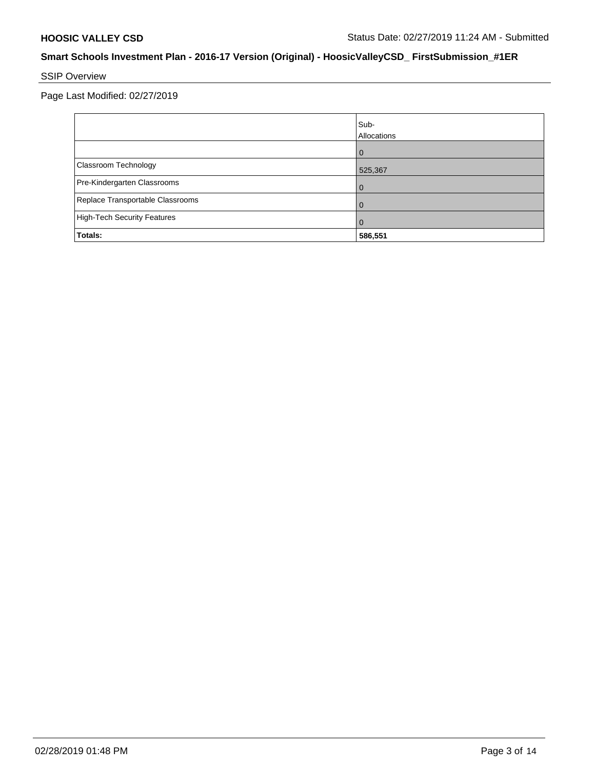# SSIP Overview

Page Last Modified: 02/27/2019

|                                    | Sub-<br>Allocations |
|------------------------------------|---------------------|
|                                    |                     |
| Classroom Technology               | 525,367             |
| Pre-Kindergarten Classrooms        |                     |
| Replace Transportable Classrooms   |                     |
| <b>High-Tech Security Features</b> |                     |
| Totals:                            | 586,551             |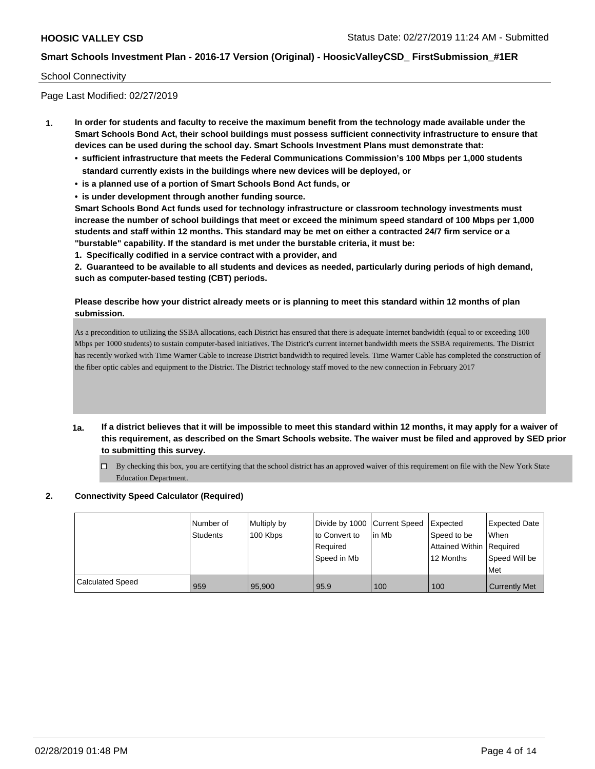### School Connectivity

Page Last Modified: 02/27/2019

- **1. In order for students and faculty to receive the maximum benefit from the technology made available under the Smart Schools Bond Act, their school buildings must possess sufficient connectivity infrastructure to ensure that devices can be used during the school day. Smart Schools Investment Plans must demonstrate that:**
	- **• sufficient infrastructure that meets the Federal Communications Commission's 100 Mbps per 1,000 students standard currently exists in the buildings where new devices will be deployed, or**
	- **• is a planned use of a portion of Smart Schools Bond Act funds, or**
	- **• is under development through another funding source.**

**Smart Schools Bond Act funds used for technology infrastructure or classroom technology investments must increase the number of school buildings that meet or exceed the minimum speed standard of 100 Mbps per 1,000 students and staff within 12 months. This standard may be met on either a contracted 24/7 firm service or a "burstable" capability. If the standard is met under the burstable criteria, it must be:**

**1. Specifically codified in a service contract with a provider, and**

**2. Guaranteed to be available to all students and devices as needed, particularly during periods of high demand, such as computer-based testing (CBT) periods.**

## **Please describe how your district already meets or is planning to meet this standard within 12 months of plan submission.**

As a precondition to utilizing the SSBA allocations, each District has ensured that there is adequate Internet bandwidth (equal to or exceeding 100 Mbps per 1000 students) to sustain computer-based initiatives. The District's current internet bandwidth meets the SSBA requirements. The District has recently worked with Time Warner Cable to increase District bandwidth to required levels. Time Warner Cable has completed the construction of the fiber optic cables and equipment to the District. The District technology staff moved to the new connection in February 2017

- **1a. If a district believes that it will be impossible to meet this standard within 12 months, it may apply for a waiver of this requirement, as described on the Smart Schools website. The waiver must be filed and approved by SED prior to submitting this survey.**
	- $\Box$  By checking this box, you are certifying that the school district has an approved waiver of this requirement on file with the New York State Education Department.

## **2. Connectivity Speed Calculator (Required)**

|                         | Number of<br>Students | Multiply by<br>100 Kbps | Divide by 1000 Current Speed<br>to Convert to<br>Reauired<br>Speed in Mb | l in Mb | Expected<br>Speed to be<br>Attained Within Required<br>12 Months | <b>Expected Date</b><br>When<br>Speed Will be<br>Met |
|-------------------------|-----------------------|-------------------------|--------------------------------------------------------------------------|---------|------------------------------------------------------------------|------------------------------------------------------|
| <b>Calculated Speed</b> | 959                   | 95,900                  | 95.9                                                                     | 100     | 100                                                              | <b>Currently Met</b>                                 |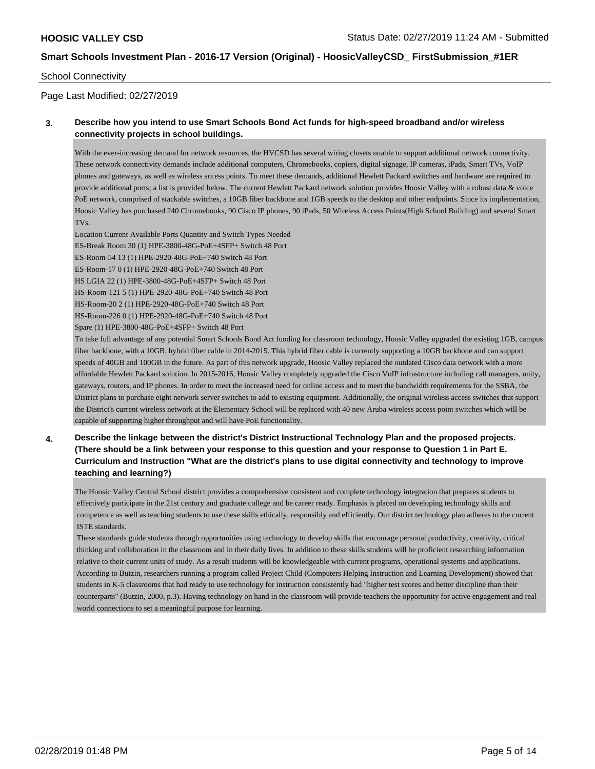### School Connectivity

Page Last Modified: 02/27/2019

# **3. Describe how you intend to use Smart Schools Bond Act funds for high-speed broadband and/or wireless connectivity projects in school buildings.**

With the ever-increasing demand for network resources, the HVCSD has several wiring closets unable to support additional network connectivity. These network connectivity demands include additional computers, Chromebooks, copiers, digital signage, IP cameras, iPads, Smart TVs, VoIP phones and gateways, as well as wireless access points. To meet these demands, additional Hewlett Packard switches and hardware are required to provide additional ports; a list is provided below. The current Hewlett Packard network solution provides Hoosic Valley with a robust data & voice PoE network, comprised of stackable switches, a 10GB fiber backbone and 1GB speeds to the desktop and other endpoints. Since its implementation, Hoosic Valley has purchased 240 Chromebooks, 90 Cisco IP phones, 90 iPads, 50 Wireless Access Points(High School Building) and several Smart TVs.

Location Current Available Ports Quantity and Switch Types Needed ES-Break Room 30 (1) HPE-3800-48G-PoE+4SFP+ Switch 48 Port ES-Room-54 13 (1) HPE-2920-48G-PoE+740 Switch 48 Port ES-Room-17 0 (1) HPE-2920-48G-PoE+740 Switch 48 Port HS LGIA 22 (1) HPE-3800-48G-PoE+4SFP+ Switch 48 Port HS-Room-121 5 (1) HPE-2920-48G-PoE+740 Switch 48 Port HS-Room-20 2 (1) HPE-2920-48G-PoE+740 Switch 48 Port HS-Room-226 0 (1) HPE-2920-48G-PoE+740 Switch 48 Port Spare (1) HPE-3800-48G-PoE+4SFP+ Switch 48 Port

To take full advantage of any potential Smart Schools Bond Act funding for classroom technology, Hoosic Valley upgraded the existing 1GB, campus fiber backbone, with a 10GB, hybrid fiber cable in 2014-2015. This hybrid fiber cable is currently supporting a 10GB backbone and can support speeds of 40GB and 100GB in the future. As part of this network upgrade, Hoosic Valley replaced the outdated Cisco data network with a more affordable Hewlett Packard solution. In 2015-2016, Hoosic Valley completely upgraded the Cisco VoIP infrastructure including call managers, unity, gateways, routers, and IP phones. In order to meet the increased need for online access and to meet the bandwidth requirements for the SSBA, the District plans to purchase eight network server switches to add to existing equipment. Additionally, the original wireless access switches that support the District's current wireless network at the Elementary School will be replaced with 40 new Aruba wireless access point switches which will be capable of supporting higher throughput and will have PoE functionality.

**4. Describe the linkage between the district's District Instructional Technology Plan and the proposed projects. (There should be a link between your response to this question and your response to Question 1 in Part E. Curriculum and Instruction "What are the district's plans to use digital connectivity and technology to improve teaching and learning?)**

The Hoosic Valley Central School district provides a comprehensive consistent and complete technology integration that prepares students to effectively participate in the 21st century and graduate college and be career ready. Emphasis is placed on developing technology skills and competence as well as teaching students to use these skills ethically, responsibly and efficiently. Our district technology plan adheres to the current ISTE standards.

 These standards guide students through opportunities using technology to develop skills that encourage personal productivity, creativity, critical thinking and collaboration in the classroom and in their daily lives. In addition to these skills students will be proficient researching information relative to their current units of study. As a result students will be knowledgeable with current programs, operational systems and applications. According to Butzin, researchers running a program called Project Child (Computers Helping Instruction and Learning Development) showed that students in K-5 classrooms that had ready to use technology for instruction consistently had "higher test scores and better discipline than their counterparts" (Butzin, 2000, p.3). Having technology on hand in the classroom will provide teachers the opportunity for active engagement and real world connections to set a meaningful purpose for learning.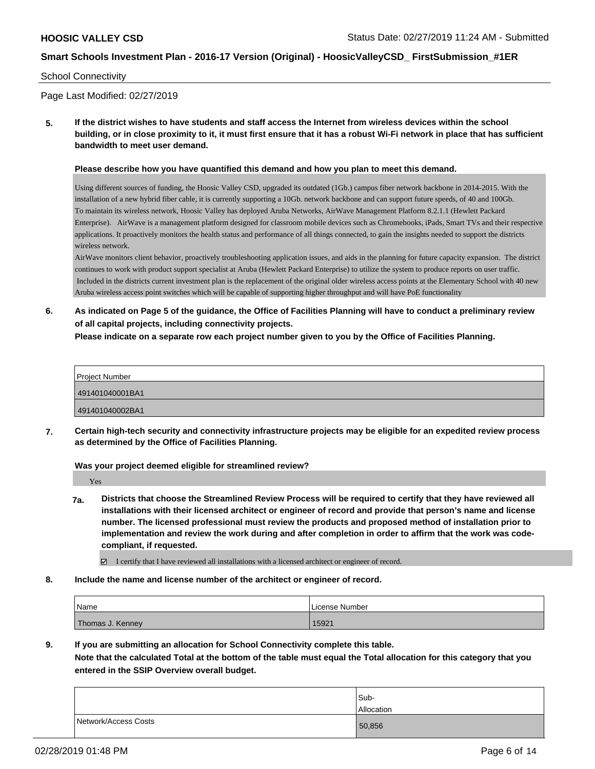### School Connectivity

Page Last Modified: 02/27/2019

**5. If the district wishes to have students and staff access the Internet from wireless devices within the school building, or in close proximity to it, it must first ensure that it has a robust Wi-Fi network in place that has sufficient bandwidth to meet user demand.**

#### **Please describe how you have quantified this demand and how you plan to meet this demand.**

Using different sources of funding, the Hoosic Valley CSD, upgraded its outdated (1Gb.) campus fiber network backbone in 2014-2015. With the installation of a new hybrid fiber cable, it is currently supporting a 10Gb. network backbone and can support future speeds, of 40 and 100Gb. To maintain its wireless network, Hoosic Valley has deployed Aruba Networks, AirWave Management Platform 8.2.1.1 (Hewlett Packard Enterprise). AirWave is a management platform designed for classroom mobile devices such as Chromebooks, iPads, Smart TVs and their respective applications. It proactively monitors the health status and performance of all things connected, to gain the insights needed to support the districts wireless network.

AirWave monitors client behavior, proactively troubleshooting application issues, and aids in the planning for future capacity expansion. The district continues to work with product support specialist at Aruba (Hewlett Packard Enterprise) to utilize the system to produce reports on user traffic. Included in the districts current investment plan is the replacement of the original older wireless access points at the Elementary School with 40 new Aruba wireless access point switches which will be capable of supporting higher throughput and will have PoE functionality

**6. As indicated on Page 5 of the guidance, the Office of Facilities Planning will have to conduct a preliminary review of all capital projects, including connectivity projects.**

**Please indicate on a separate row each project number given to you by the Office of Facilities Planning.**

| <b>Project Number</b> |  |
|-----------------------|--|
| 491401040001BA1       |  |
| 491401040002BA1       |  |

**7. Certain high-tech security and connectivity infrastructure projects may be eligible for an expedited review process as determined by the Office of Facilities Planning.**

**Was your project deemed eligible for streamlined review?**

Yes

**7a. Districts that choose the Streamlined Review Process will be required to certify that they have reviewed all installations with their licensed architect or engineer of record and provide that person's name and license number. The licensed professional must review the products and proposed method of installation prior to implementation and review the work during and after completion in order to affirm that the work was codecompliant, if requested.**

I certify that I have reviewed all installations with a licensed architect or engineer of record.

**8. Include the name and license number of the architect or engineer of record.**

| <b>Name</b>      | License Number |
|------------------|----------------|
| Thomas J. Kenney | 15921          |

**9. If you are submitting an allocation for School Connectivity complete this table. Note that the calculated Total at the bottom of the table must equal the Total allocation for this category that you**

### **entered in the SSIP Overview overall budget.**

|                      | Sub-<br>Allocation |
|----------------------|--------------------|
| Network/Access Costs | 50,856             |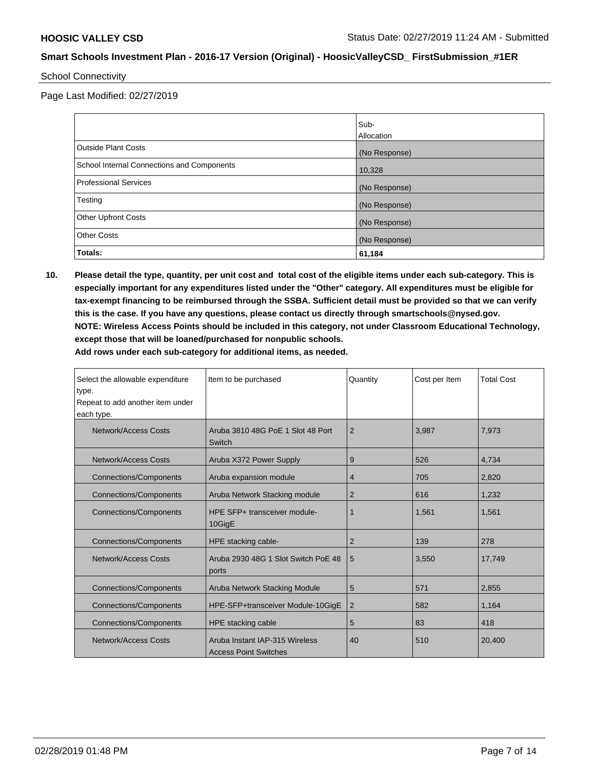School Connectivity

Page Last Modified: 02/27/2019

|                                            | Sub-          |
|--------------------------------------------|---------------|
|                                            | Allocation    |
| Outside Plant Costs                        | (No Response) |
| School Internal Connections and Components | 10,328        |
| <b>Professional Services</b>               | (No Response) |
| Testing                                    | (No Response) |
| <b>Other Upfront Costs</b>                 | (No Response) |
| <b>Other Costs</b>                         | (No Response) |
| Totals:                                    | 61,184        |

**10. Please detail the type, quantity, per unit cost and total cost of the eligible items under each sub-category. This is especially important for any expenditures listed under the "Other" category. All expenditures must be eligible for tax-exempt financing to be reimbursed through the SSBA. Sufficient detail must be provided so that we can verify this is the case. If you have any questions, please contact us directly through smartschools@nysed.gov. NOTE: Wireless Access Points should be included in this category, not under Classroom Educational Technology, except those that will be loaned/purchased for nonpublic schools. Add rows under each sub-category for additional items, as needed.**

| Select the allowable expenditure<br>type.<br>Repeat to add another item under<br>each type. | Item to be purchased                                           | Quantity       | Cost per Item | <b>Total Cost</b> |
|---------------------------------------------------------------------------------------------|----------------------------------------------------------------|----------------|---------------|-------------------|
| <b>Network/Access Costs</b>                                                                 | Aruba 3810 48G PoE 1 Slot 48 Port<br>Switch                    | $\overline{2}$ | 3,987         | 7,973             |
| Network/Access Costs                                                                        | Aruba X372 Power Supply                                        | 9              | 526           | 4.734             |
| Connections/Components                                                                      | Aruba expansion module                                         | 4              | 705           | 2,820             |
| <b>Connections/Components</b>                                                               | Aruba Network Stacking module                                  | $\overline{2}$ | 616           | 1,232             |
| <b>Connections/Components</b>                                                               | HPE SFP+ transceiver module-<br>10GigE                         | 1              | 1,561         | 1,561             |
| <b>Connections/Components</b>                                                               | HPE stacking cable-                                            | $\overline{2}$ | 139           | 278               |
| Network/Access Costs                                                                        | Aruba 2930 48G 1 Slot Switch PoE 48<br>ports                   | 5              | 3,550         | 17,749            |
| <b>Connections/Components</b>                                                               | Aruba Network Stacking Module                                  | 5              | 571           | 2,855             |
| Connections/Components                                                                      | HPE-SFP+transceiver Module-10GigE                              | $\overline{2}$ | 582           | 1,164             |
| Connections/Components                                                                      | HPE stacking cable                                             | 5              | 83            | 418               |
| Network/Access Costs                                                                        | Aruba Instant IAP-315 Wireless<br><b>Access Point Switches</b> | 40             | 510           | 20,400            |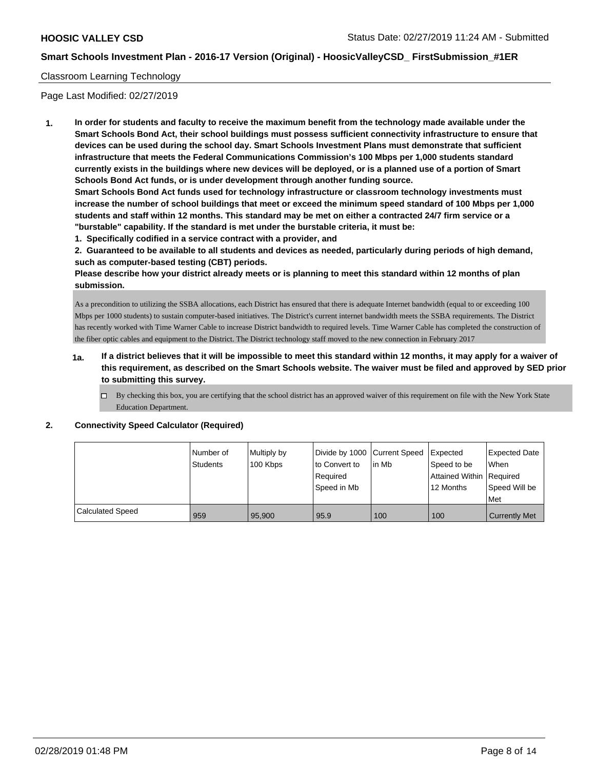## Classroom Learning Technology

Page Last Modified: 02/27/2019

**1. In order for students and faculty to receive the maximum benefit from the technology made available under the Smart Schools Bond Act, their school buildings must possess sufficient connectivity infrastructure to ensure that devices can be used during the school day. Smart Schools Investment Plans must demonstrate that sufficient infrastructure that meets the Federal Communications Commission's 100 Mbps per 1,000 students standard currently exists in the buildings where new devices will be deployed, or is a planned use of a portion of Smart Schools Bond Act funds, or is under development through another funding source.**

**Smart Schools Bond Act funds used for technology infrastructure or classroom technology investments must increase the number of school buildings that meet or exceed the minimum speed standard of 100 Mbps per 1,000 students and staff within 12 months. This standard may be met on either a contracted 24/7 firm service or a "burstable" capability. If the standard is met under the burstable criteria, it must be:**

**1. Specifically codified in a service contract with a provider, and**

**2. Guaranteed to be available to all students and devices as needed, particularly during periods of high demand, such as computer-based testing (CBT) periods.**

**Please describe how your district already meets or is planning to meet this standard within 12 months of plan submission.**

As a precondition to utilizing the SSBA allocations, each District has ensured that there is adequate Internet bandwidth (equal to or exceeding 100 Mbps per 1000 students) to sustain computer-based initiatives. The District's current internet bandwidth meets the SSBA requirements. The District has recently worked with Time Warner Cable to increase District bandwidth to required levels. Time Warner Cable has completed the construction of the fiber optic cables and equipment to the District. The District technology staff moved to the new connection in February 2017

- **1a. If a district believes that it will be impossible to meet this standard within 12 months, it may apply for a waiver of this requirement, as described on the Smart Schools website. The waiver must be filed and approved by SED prior to submitting this survey.**
	- By checking this box, you are certifying that the school district has an approved waiver of this requirement on file with the New York State Education Department.

| 2. |  | <b>Connectivity Speed Calculator (Required)</b> |  |
|----|--|-------------------------------------------------|--|
|    |  |                                                 |  |

|                  | Number of | Multiply by | Divide by 1000 Current Speed |        | <b>Expected</b>            | Expected Date        |
|------------------|-----------|-------------|------------------------------|--------|----------------------------|----------------------|
|                  | Students  | 100 Kbps    | to Convert to                | lin Mb | Speed to be                | When                 |
|                  |           |             | Required                     |        | Attained Within   Required |                      |
|                  |           |             | Speed in Mb                  |        | 12 Months                  | Speed Will be        |
|                  |           |             |                              |        |                            | l Met                |
| Calculated Speed | 959       | 95.900      | 95.9                         | 100    | 100                        | <b>Currently Met</b> |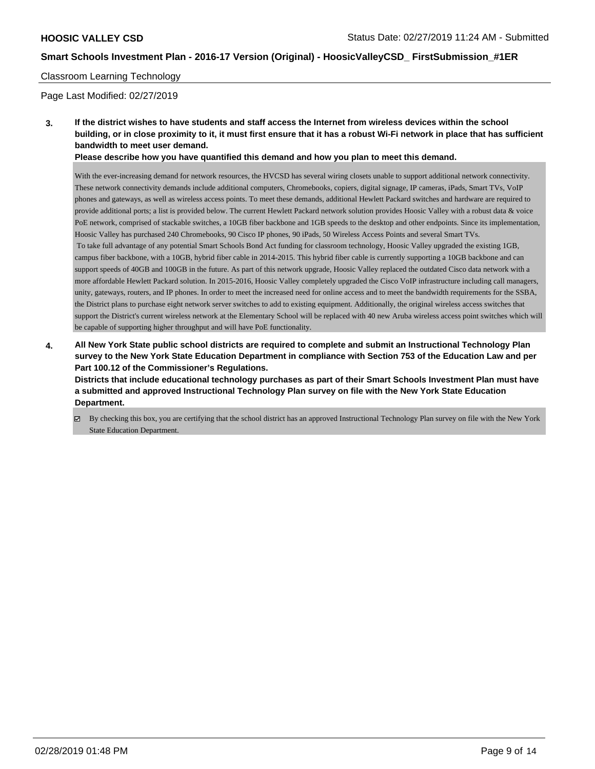## Classroom Learning Technology

Page Last Modified: 02/27/2019

**3. If the district wishes to have students and staff access the Internet from wireless devices within the school building, or in close proximity to it, it must first ensure that it has a robust Wi-Fi network in place that has sufficient bandwidth to meet user demand.**

**Please describe how you have quantified this demand and how you plan to meet this demand.**

With the ever-increasing demand for network resources, the HVCSD has several wiring closets unable to support additional network connectivity. These network connectivity demands include additional computers, Chromebooks, copiers, digital signage, IP cameras, iPads, Smart TVs, VoIP phones and gateways, as well as wireless access points. To meet these demands, additional Hewlett Packard switches and hardware are required to provide additional ports; a list is provided below. The current Hewlett Packard network solution provides Hoosic Valley with a robust data & voice PoE network, comprised of stackable switches, a 10GB fiber backbone and 1GB speeds to the desktop and other endpoints. Since its implementation, Hoosic Valley has purchased 240 Chromebooks, 90 Cisco IP phones, 90 iPads, 50 Wireless Access Points and several Smart TVs. To take full advantage of any potential Smart Schools Bond Act funding for classroom technology, Hoosic Valley upgraded the existing 1GB, campus fiber backbone, with a 10GB, hybrid fiber cable in 2014-2015. This hybrid fiber cable is currently supporting a 10GB backbone and can support speeds of 40GB and 100GB in the future. As part of this network upgrade, Hoosic Valley replaced the outdated Cisco data network with a more affordable Hewlett Packard solution. In 2015-2016, Hoosic Valley completely upgraded the Cisco VoIP infrastructure including call managers, unity, gateways, routers, and IP phones. In order to meet the increased need for online access and to meet the bandwidth requirements for the SSBA, the District plans to purchase eight network server switches to add to existing equipment. Additionally, the original wireless access switches that support the District's current wireless network at the Elementary School will be replaced with 40 new Aruba wireless access point switches which will be capable of supporting higher throughput and will have PoE functionality.

**4. All New York State public school districts are required to complete and submit an Instructional Technology Plan survey to the New York State Education Department in compliance with Section 753 of the Education Law and per Part 100.12 of the Commissioner's Regulations.**

**Districts that include educational technology purchases as part of their Smart Schools Investment Plan must have a submitted and approved Instructional Technology Plan survey on file with the New York State Education Department.**

By checking this box, you are certifying that the school district has an approved Instructional Technology Plan survey on file with the New York State Education Department.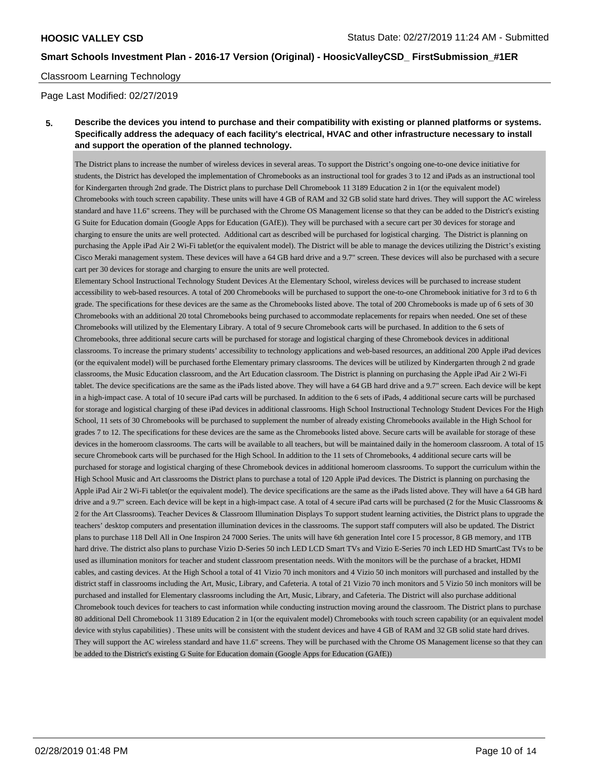## Classroom Learning Technology

Page Last Modified: 02/27/2019

# **5. Describe the devices you intend to purchase and their compatibility with existing or planned platforms or systems. Specifically address the adequacy of each facility's electrical, HVAC and other infrastructure necessary to install and support the operation of the planned technology.**

The District plans to increase the number of wireless devices in several areas. To support the District's ongoing one-to-one device initiative for students, the District has developed the implementation of Chromebooks as an instructional tool for grades 3 to 12 and iPads as an instructional tool for Kindergarten through 2nd grade. The District plans to purchase Dell Chromebook 11 3189 Education 2 in 1(or the equivalent model) Chromebooks with touch screen capability. These units will have 4 GB of RAM and 32 GB solid state hard drives. They will support the AC wireless standard and have 11.6" screens. They will be purchased with the Chrome OS Management license so that they can be added to the District's existing G Suite for Education domain (Google Apps for Education (GAfE)). They will be purchased with a secure cart per 30 devices for storage and charging to ensure the units are well protected. Additional cart as described will be purchased for logistical charging. The District is planning on purchasing the Apple iPad Air 2 Wi-Fi tablet(or the equivalent model). The District will be able to manage the devices utilizing the District's existing Cisco Meraki management system. These devices will have a 64 GB hard drive and a 9.7" screen. These devices will also be purchased with a secure cart per 30 devices for storage and charging to ensure the units are well protected.

Elementary School Instructional Technology Student Devices At the Elementary School, wireless devices will be purchased to increase student accessibility to web-based resources. A total of 200 Chromebooks will be purchased to support the one-to-one Chromebook initiative for 3 rd to 6 th grade. The specifications for these devices are the same as the Chromebooks listed above. The total of 200 Chromebooks is made up of 6 sets of 30 Chromebooks with an additional 20 total Chromebooks being purchased to accommodate replacements for repairs when needed. One set of these Chromebooks will utilized by the Elementary Library. A total of 9 secure Chromebook carts will be purchased. In addition to the 6 sets of Chromebooks, three additional secure carts will be purchased for storage and logistical charging of these Chromebook devices in additional classrooms. To increase the primary students' accessibility to technology applications and web-based resources, an additional 200 Apple iPad devices (or the equivalent model) will be purchased forthe Elementary primary classrooms. The devices will be utilized by Kindergarten through 2 nd grade classrooms, the Music Education classroom, and the Art Education classroom. The District is planning on purchasing the Apple iPad Air 2 Wi-Fi tablet. The device specifications are the same as the iPads listed above. They will have a 64 GB hard drive and a 9.7" screen. Each device will be kept in a high-impact case. A total of 10 secure iPad carts will be purchased. In addition to the 6 sets of iPads, 4 additional secure carts will be purchased for storage and logistical charging of these iPad devices in additional classrooms. High School Instructional Technology Student Devices For the High School, 11 sets of 30 Chromebooks will be purchased to supplement the number of already existing Chromebooks available in the High School for grades 7 to 12. The specifications for these devices are the same as the Chromebooks listed above. Secure carts will be available for storage of these devices in the homeroom classrooms. The carts will be available to all teachers, but will be maintained daily in the homeroom classroom. A total of 15 secure Chromebook carts will be purchased for the High School. In addition to the 11 sets of Chromebooks, 4 additional secure carts will be purchased for storage and logistical charging of these Chromebook devices in additional homeroom classrooms. To support the curriculum within the High School Music and Art classrooms the District plans to purchase a total of 120 Apple iPad devices. The District is planning on purchasing the Apple iPad Air 2 Wi-Fi tablet(or the equivalent model). The device specifications are the same as the iPads listed above. They will have a 64 GB hard drive and a 9.7" screen. Each device will be kept in a high-impact case. A total of 4 secure iPad carts will be purchased (2 for the Music Classrooms & 2 for the Art Classrooms). Teacher Devices & Classroom Illumination Displays To support student learning activities, the District plans to upgrade the teachers' desktop computers and presentation illumination devices in the classrooms. The support staff computers will also be updated. The District plans to purchase 118 Dell All in One Inspiron 24 7000 Series. The units will have 6th generation Intel core I 5 processor, 8 GB memory, and 1TB hard drive. The district also plans to purchase Vizio D-Series 50 inch LED LCD Smart TVs and Vizio E-Series 70 inch LED HD SmartCast TVs to be used as illumination monitors for teacher and student classroom presentation needs. With the monitors will be the purchase of a bracket, HDMI cables, and casting devices. At the High School a total of 41 Vizio 70 inch monitors and 4 Vizio 50 inch monitors will purchased and installed by the district staff in classrooms including the Art, Music, Library, and Cafeteria. A total of 21 Vizio 70 inch monitors and 5 Vizio 50 inch monitors will be purchased and installed for Elementary classrooms including the Art, Music, Library, and Cafeteria. The District will also purchase additional Chromebook touch devices for teachers to cast information while conducting instruction moving around the classroom. The District plans to purchase 80 additional Dell Chromebook 11 3189 Education 2 in 1(or the equivalent model) Chromebooks with touch screen capability (or an equivalent model device with stylus capabilities) . These units will be consistent with the student devices and have 4 GB of RAM and 32 GB solid state hard drives. They will support the AC wireless standard and have 11.6" screens. They will be purchased with the Chrome OS Management license so that they can be added to the District's existing G Suite for Education domain (Google Apps for Education (GAfE))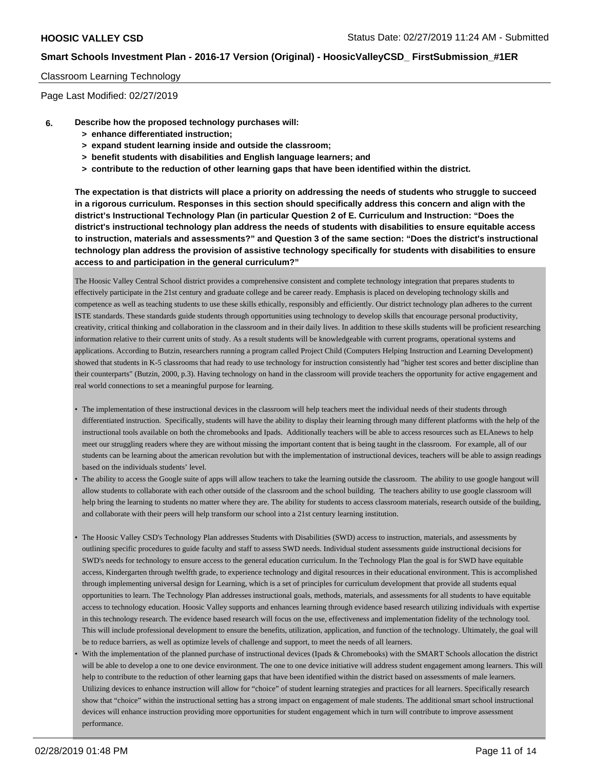### Classroom Learning Technology

Page Last Modified: 02/27/2019

- **6. Describe how the proposed technology purchases will:**
	- **> enhance differentiated instruction;**
	- **> expand student learning inside and outside the classroom;**
	- **> benefit students with disabilities and English language learners; and**
	- **> contribute to the reduction of other learning gaps that have been identified within the district.**

**The expectation is that districts will place a priority on addressing the needs of students who struggle to succeed in a rigorous curriculum. Responses in this section should specifically address this concern and align with the district's Instructional Technology Plan (in particular Question 2 of E. Curriculum and Instruction: "Does the district's instructional technology plan address the needs of students with disabilities to ensure equitable access to instruction, materials and assessments?" and Question 3 of the same section: "Does the district's instructional technology plan address the provision of assistive technology specifically for students with disabilities to ensure access to and participation in the general curriculum?"**

The Hoosic Valley Central School district provides a comprehensive consistent and complete technology integration that prepares students to effectively participate in the 21st century and graduate college and be career ready. Emphasis is placed on developing technology skills and competence as well as teaching students to use these skills ethically, responsibly and efficiently. Our district technology plan adheres to the current ISTE standards. These standards guide students through opportunities using technology to develop skills that encourage personal productivity, creativity, critical thinking and collaboration in the classroom and in their daily lives. In addition to these skills students will be proficient researching information relative to their current units of study. As a result students will be knowledgeable with current programs, operational systems and applications. According to Butzin, researchers running a program called Project Child (Computers Helping Instruction and Learning Development) showed that students in K-5 classrooms that had ready to use technology for instruction consistently had "higher test scores and better discipline than their counterparts" (Butzin, 2000, p.3). Having technology on hand in the classroom will provide teachers the opportunity for active engagement and real world connections to set a meaningful purpose for learning.

- The implementation of these instructional devices in the classroom will help teachers meet the individual needs of their students through differentiated instruction. Specifically, students will have the ability to display their learning through many different platforms with the help of the instructional tools available on both the chromebooks and Ipads. Additionally teachers will be able to access resources such as ELAnews to help meet our struggling readers where they are without missing the important content that is being taught in the classroom. For example, all of our students can be learning about the american revolution but with the implementation of instructional devices, teachers will be able to assign readings based on the individuals students' level.
- The ability to access the Google suite of apps will allow teachers to take the learning outside the classroom. The ability to use google hangout will allow students to collaborate with each other outside of the classroom and the school building. The teachers ability to use google classroom will help bring the learning to students no matter where they are. The ability for students to access classroom materials, research outside of the building, and collaborate with their peers will help transform our school into a 21st century learning institution.
- The Hoosic Valley CSD's Technology Plan addresses Students with Disabilities (SWD) access to instruction, materials, and assessments by outlining specific procedures to guide faculty and staff to assess SWD needs. Individual student assessments guide instructional decisions for SWD's needs for technology to ensure access to the general education curriculum. In the Technology Plan the goal is for SWD have equitable access, Kindergarten through twelfth grade, to experience technology and digital resources in their educational environment. This is accomplished through implementing universal design for Learning, which is a set of principles for curriculum development that provide all students equal opportunities to learn. The Technology Plan addresses instructional goals, methods, materials, and assessments for all students to have equitable access to technology education. Hoosic Valley supports and enhances learning through evidence based research utilizing individuals with expertise in this technology research. The evidence based research will focus on the use, effectiveness and implementation fidelity of the technology tool. This will include professional development to ensure the benefits, utilization, application, and function of the technology. Ultimately, the goal will be to reduce barriers, as well as optimize levels of challenge and support, to meet the needs of all learners.
- With the implementation of the planned purchase of instructional devices (Ipads & Chromebooks) with the SMART Schools allocation the district will be able to develop a one to one device environment. The one to one device initiative will address student engagement among learners. This will help to contribute to the reduction of other learning gaps that have been identified within the district based on assessments of male learners. Utilizing devices to enhance instruction will allow for "choice" of student learning strategies and practices for all learners. Specifically research show that "choice" within the instructional setting has a strong impact on engagement of male students. The additional smart school instructional devices will enhance instruction providing more opportunities for student engagement which in turn will contribute to improve assessment performance.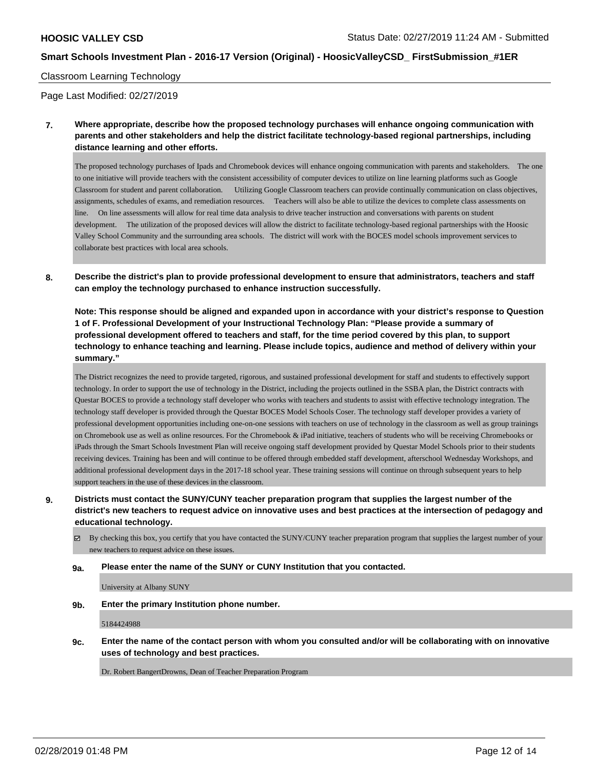### Classroom Learning Technology

Page Last Modified: 02/27/2019

**7. Where appropriate, describe how the proposed technology purchases will enhance ongoing communication with parents and other stakeholders and help the district facilitate technology-based regional partnerships, including distance learning and other efforts.**

The proposed technology purchases of Ipads and Chromebook devices will enhance ongoing communication with parents and stakeholders. The one to one initiative will provide teachers with the consistent accessibility of computer devices to utilize on line learning platforms such as Google Classroom for student and parent collaboration. Utilizing Google Classroom teachers can provide continually communication on class objectives, assignments, schedules of exams, and remediation resources. Teachers will also be able to utilize the devices to complete class assessments on line. On line assessments will allow for real time data analysis to drive teacher instruction and conversations with parents on student development. The utilization of the proposed devices will allow the district to facilitate technology-based regional partnerships with the Hoosic Valley School Community and the surrounding area schools. The district will work with the BOCES model schools improvement services to collaborate best practices with local area schools.

**8. Describe the district's plan to provide professional development to ensure that administrators, teachers and staff can employ the technology purchased to enhance instruction successfully.**

**Note: This response should be aligned and expanded upon in accordance with your district's response to Question 1 of F. Professional Development of your Instructional Technology Plan: "Please provide a summary of professional development offered to teachers and staff, for the time period covered by this plan, to support technology to enhance teaching and learning. Please include topics, audience and method of delivery within your summary."**

The District recognizes the need to provide targeted, rigorous, and sustained professional development for staff and students to effectively support technology. In order to support the use of technology in the District, including the projects outlined in the SSBA plan, the District contracts with Questar BOCES to provide a technology staff developer who works with teachers and students to assist with effective technology integration. The technology staff developer is provided through the Questar BOCES Model Schools Coser. The technology staff developer provides a variety of professional development opportunities including one-on-one sessions with teachers on use of technology in the classroom as well as group trainings on Chromebook use as well as online resources. For the Chromebook & iPad initiative, teachers of students who will be receiving Chromebooks or iPads through the Smart Schools Investment Plan will receive ongoing staff development provided by Questar Model Schools prior to their students receiving devices. Training has been and will continue to be offered through embedded staff development, afterschool Wednesday Workshops, and additional professional development days in the 2017-18 school year. These training sessions will continue on through subsequent years to help support teachers in the use of these devices in the classroom.

- **9. Districts must contact the SUNY/CUNY teacher preparation program that supplies the largest number of the district's new teachers to request advice on innovative uses and best practices at the intersection of pedagogy and educational technology.**
	- By checking this box, you certify that you have contacted the SUNY/CUNY teacher preparation program that supplies the largest number of your new teachers to request advice on these issues.

#### **9a. Please enter the name of the SUNY or CUNY Institution that you contacted.**

University at Albany SUNY

**9b. Enter the primary Institution phone number.**

5184424988

**9c. Enter the name of the contact person with whom you consulted and/or will be collaborating with on innovative uses of technology and best practices.**

Dr. Robert Bangert Drowns, Dean of Teacher Preparation Program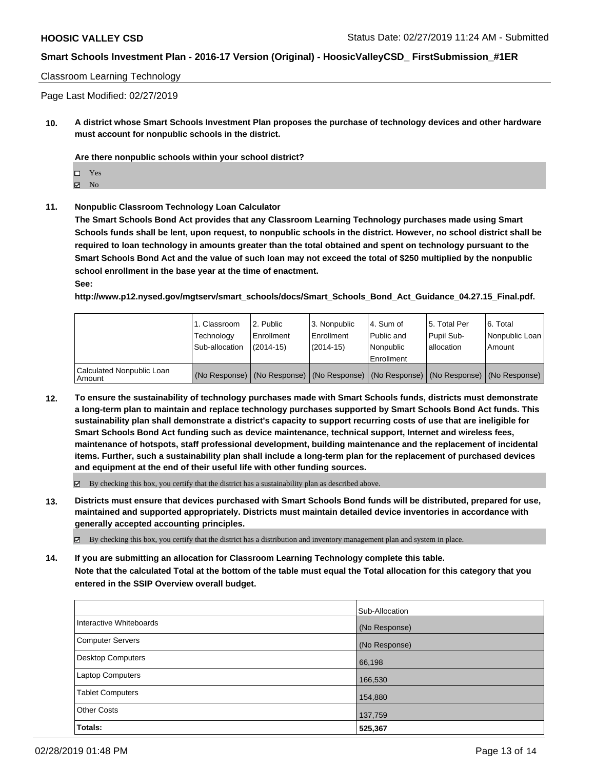Classroom Learning Technology

Page Last Modified: 02/27/2019

**10. A district whose Smart Schools Investment Plan proposes the purchase of technology devices and other hardware must account for nonpublic schools in the district.**

**Are there nonpublic schools within your school district?**

Yes

 $\boxtimes$  No

**11. Nonpublic Classroom Technology Loan Calculator**

**The Smart Schools Bond Act provides that any Classroom Learning Technology purchases made using Smart Schools funds shall be lent, upon request, to nonpublic schools in the district. However, no school district shall be required to loan technology in amounts greater than the total obtained and spent on technology pursuant to the Smart Schools Bond Act and the value of such loan may not exceed the total of \$250 multiplied by the nonpublic school enrollment in the base year at the time of enactment.**

**See:**

**http://www.p12.nysed.gov/mgtserv/smart\_schools/docs/Smart\_Schools\_Bond\_Act\_Guidance\_04.27.15\_Final.pdf.**

|                                       | 1. Classroom<br>Technology<br>Sub-allocation | l 2. Public<br>Enrollment<br>(2014-15) | l 3. Nonpublic<br>Enrollment<br>(2014-15) | 4. Sum of<br>Public and<br>l Nonpublic<br>Enrollment | 15. Total Per<br>Pupil Sub-<br>lallocation | 6. Total<br>Nonpublic Loan<br>Amount                                                          |
|---------------------------------------|----------------------------------------------|----------------------------------------|-------------------------------------------|------------------------------------------------------|--------------------------------------------|-----------------------------------------------------------------------------------------------|
| Calculated Nonpublic Loan<br>l Amount |                                              |                                        |                                           |                                                      |                                            | (No Response)   (No Response)   (No Response)   (No Response)   (No Response)   (No Response) |

**12. To ensure the sustainability of technology purchases made with Smart Schools funds, districts must demonstrate a long-term plan to maintain and replace technology purchases supported by Smart Schools Bond Act funds. This sustainability plan shall demonstrate a district's capacity to support recurring costs of use that are ineligible for Smart Schools Bond Act funding such as device maintenance, technical support, Internet and wireless fees, maintenance of hotspots, staff professional development, building maintenance and the replacement of incidental items. Further, such a sustainability plan shall include a long-term plan for the replacement of purchased devices and equipment at the end of their useful life with other funding sources.**

 $\boxtimes$  By checking this box, you certify that the district has a sustainability plan as described above.

**13. Districts must ensure that devices purchased with Smart Schools Bond funds will be distributed, prepared for use, maintained and supported appropriately. Districts must maintain detailed device inventories in accordance with generally accepted accounting principles.**

By checking this box, you certify that the district has a distribution and inventory management plan and system in place.

**14. If you are submitting an allocation for Classroom Learning Technology complete this table. Note that the calculated Total at the bottom of the table must equal the Total allocation for this category that you entered in the SSIP Overview overall budget.**

|                          | Sub-Allocation |
|--------------------------|----------------|
| Interactive Whiteboards  | (No Response)  |
| <b>Computer Servers</b>  | (No Response)  |
| <b>Desktop Computers</b> | 66,198         |
| Laptop Computers         | 166,530        |
| <b>Tablet Computers</b>  | 154,880        |
| <b>Other Costs</b>       | 137,759        |
| Totals:                  | 525,367        |